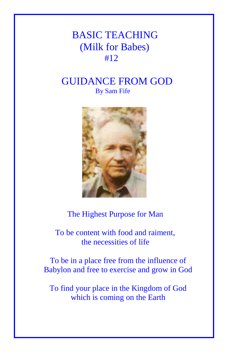# BASIC TEACHING (Milk for Babes) #12

## GUIDANCE FROM GOD By Sam Fife



## The Highest Purpose for Man

 To be content with food and raiment, the necessities of life

To be in a place free from the influence of Babylon and free to exercise and grow in God

To find your place in the Kingdom of God which is coming on the Earth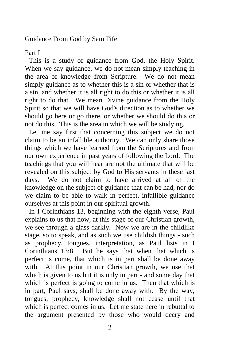Guidance From God by Sam Fife

### Part I

This is a study of guidance from God, the Holy Spirit. When we say guidance, we do not mean simply teaching in the area of knowledge from Scripture. We do not mean simply guidance as to whether this is a sin or whether that is a sin, and whether it is all right to do this or whether it is all right to do that. We mean Divine guidance from the Holy Spirit so that we will have God's direction as to whether we should go here or go there, or whether we should do this or not do this. This is the area in which we will be studying.

Let me say first that concerning this subject we do not claim to be an infallible authority. We can only share those things which we have learned from the Scriptures and from our own experience in past years of following the Lord. The teachings that you will hear are not the ultimate that will be revealed on this subject by God to His servants in these last days. We do not claim to have arrived at all of the knowledge on the subject of guidance that can be had, nor do we claim to be able to walk in perfect, infallible guidance ourselves at this point in our spiritual growth.

In I Corinthians 13, beginning with the eighth verse, Paul explains to us that now, at this stage of our Christian growth, we see through a glass darkly. Now we are in the childlike stage, so to speak, and as such we use childish things - such as prophecy, tongues, interpretation, as Paul lists in I Corinthians 13:8. But he says that when that which is perfect is come, that which is in part shall be done away with. At this point in our Christian growth, we use that which is given to us but it is only in part - and some day that which is perfect is going to come in us. Then that which is in part, Paul says, shall be done away with. By the way, tongues, prophecy, knowledge shall not cease until that which is perfect comes in us. Let me state here in rebuttal to the argument presented by those who would decry and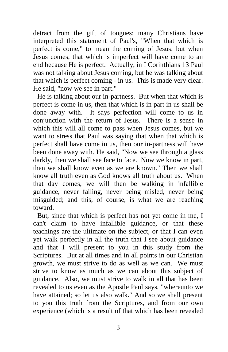detract from the gift of tongues: many Christians have interpreted this statement of Paul's, "When that which is perfect is come," to mean the coming of Jesus; but when Jesus comes, that which is imperfect will have come to an end because He is perfect. Actually, in I Corinthians 13 Paul was not talking about Jesus coming, but he was talking about that which is perfect coming - in us. This is made very clear. He said, "now we see in part."

He is talking about our in-partness. But when that which is perfect is come in us, then that which is in part in us shall be done away with. It says perfection will come to us in conjunction with the return of Jesus. There is a sense in which this will all come to pass when Jesus comes, but we want to stress that Paul was saying that when that which is perfect shall have come in us, then our in-partness will have been done away with. He said, "Now we see through a glass darkly, then we shall see face to face. Now we know in part, then we shall know even as we are known." Then we shall know all truth even as God knows all truth about us. When that day comes, we will then be walking in infallible guidance, never failing, never being misled, never being misguided; and this, of course, is what we are reaching toward.

But, since that which is perfect has not yet come in me, I can't claim to have infallible guidance, or that these teachings are the ultimate on the subject, or that I can even yet walk perfectly in all the truth that I see about guidance and that I will present to you in this study from the Scriptures. But at all times and in all points in our Christian growth, we must strive to do as well as we can. We must strive to know as much as we can about this subject of guidance. Also, we must strive to walk in all that has been revealed to us even as the Apostle Paul says, "whereunto we have attained; so let us also walk." And so we shall present to you this truth from the Scriptures, and from our own experience (which is a result of that which has been revealed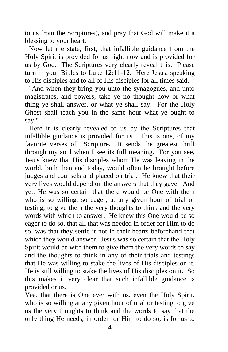to us from the Scriptures), and pray that God will make it a blessing to your heart.

Now let me state, first, that infallible guidance from the Holy Spirit is provided for us right now and is provided for us by God. The Scriptures very clearly reveal this. Please turn in your Bibles to Luke 12:11-12. Here Jesus, speaking to His disciples and to all of His disciples for all times said,

"And when they bring you unto the synagogues, and unto magistrates, and powers, take ye no thought how or what thing ye shall answer, or what ye shall say. For the Holy Ghost shall teach you in the same hour what ye ought to say."

Here it is clearly revealed to us by the Scriptures that infallible guidance is provided for us. This is one, of my favorite verses of Scripture. It sends the greatest thrill through my soul when I see its full meaning. For you see, Jesus knew that His disciples whom He was leaving in the world, both then and today, would often be brought before judges and counsels and placed on trial. He knew that their very lives would depend on the answers that they gave. And yet, He was so certain that there would be One with them who is so willing, so eager, at any given hour of trial or testing, to give them the very thoughts to think and the very words with which to answer. He knew this One would be so eager to do so, that all that was needed in order for Him to do so, was that they settle it not in their hearts beforehand that which they would answer. Jesus was so certain that the Holy Spirit would be with them to give them the very words to say and the thoughts to think in any of their trials and testings that He was willing to stake the lives of His disciples on it. He is still willing to stake the lives of His disciples on it. So this makes it very clear that such infallible guidance is provided or us.

Yea, that there is One ever with us, even the Holy Spirit, who is so willing at any given hour of trial or testing to give us the very thoughts to think and the words to say that the only thing He needs, in order for Him to do so, is for us to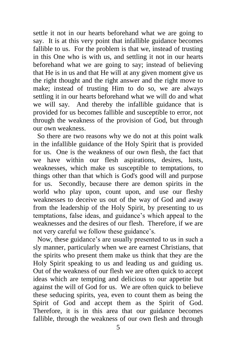settle it not in our hearts beforehand what we are going to say. It is at this very point that infallible guidance becomes fallible to us. For the problem is that we, instead of trusting in this One who is with us, and settling it not in our hearts beforehand what we are going to say; instead of believing that He is in us and that He will at any given moment give us the right thought and the right answer and the right move to make; instead of trusting Him to do so, we are always settling it in our hearts beforehand what we will do and what we will say. And thereby the infallible guidance that is provided for us becomes fallible and susceptible to error, not through the weakness of the provision of God, but through our own weakness.

So there are two reasons why we do not at this point walk in the infallible guidance of the Holy Spirit that is provided for us. One is the weakness of our own flesh, the fact that we have within our flesh aspirations, desires, lusts, weaknesses, which make us susceptible to temptations, to things other than that which is God's good will and purpose for us. Secondly, because there are demon spirits in the world who play upon, count upon, and use our fleshy weaknesses to deceive us out of the way of God and away from the leadership of the Holy Spirit, by presenting to us temptations, false ideas, and guidance's which appeal to the weaknesses and the desires of our flesh. Therefore, if we are not very careful we follow these guidance's.

Now, these guidance's are usually presented to us in such a sly manner, particularly when we are earnest Christians, that the spirits who present them make us think that they are the Holy Spirit speaking to us and leading us and guiding us. Out of the weakness of our flesh we are often quick to accept ideas which are tempting and delicious to our appetite but against the will of God for us. We are often quick to believe these seducing spirits, yea, even to count them as being the Spirit of God and accept them as the Spirit of God. Therefore, it is in this area that our guidance becomes fallible, through the weakness of our own flesh and through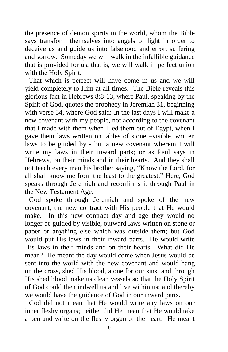the presence of demon spirits in the world, whom the Bible says transform themselves into angels of light in order to deceive us and guide us into falsehood and error, suffering and sorrow. Someday we will walk in the infallible guidance that is provided for us, that is, we will walk in perfect union with the Holy Spirit.

That which is perfect will have come in us and we will yield completely to Him at all times. The Bible reveals this glorious fact in Hebrews 8:8-13, where Paul, speaking by the Spirit of God, quotes the prophecy in Jeremiah 31, beginning with verse 34, where God said: In the last days I will make a new covenant with my people, not according to the covenant that I made with them when I led them out of Egypt, when I gave them laws written on tables of stone –visible, written laws to be guided by - but a new covenant wherein I will write my laws in their inward parts; or as Paul says in Hebrews, on their minds and in their hearts. And they shall not teach every man his brother saying, "Know the Lord, for all shall know me from the least to the greatest." Here, God speaks through Jeremiah and reconfirms it through Paul in the New Testament Age.

God spoke through Jeremiah and spoke of the new covenant, the new contract with His people that He would make. In this new contract day and age they would no longer be guided by visible, outward laws written on stone or paper or anything else which was outside them; but God would put His laws in their inward parts. He would write His laws in their minds and on their hearts. What did He mean? He meant the day would come when Jesus would be sent into the world with the new covenant and would hang on the cross, shed His blood, atone for our sins; and through His shed blood make us clean vessels so that the Holy Spirit of God could then indwell us and live within us; and thereby we would have the guidance of God in our inward parts.

God did not mean that He would write any laws on our inner fleshy organs; neither did He mean that He would take a pen and write on the fleshy organ of the heart. He meant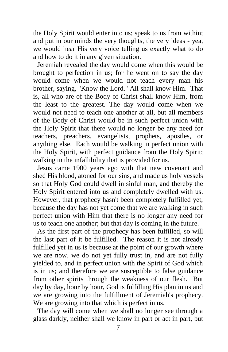the Holy Spirit would enter into us; speak to us from within; and put in our minds the very thoughts, the very ideas - yea, we would hear His very voice telling us exactly what to do and how to do it in any given situation.

Jeremiah revealed the day would come when this would be brought to perfection in us; for he went on to say the day would come when we would not teach every man his brother, saying, "Know the Lord." All shall know Him. That is, all who are of the Body of Christ shall know Him, from the least to the greatest. The day would come when we would not need to teach one another at all, but all members of the Body of Christ would be in such perfect union with the Holy Spirit that there would no longer be any need for teachers, preachers, evangelists, prophets, apostles, or anything else. Each would be walking in perfect union with the Holy Spirit, with perfect guidance from the Holy Spirit; walking in the infallibility that is provided for us.

Jesus came 1900 years ago with that new covenant and shed His blood, atoned for our sins, and made us holy vessels so that Holy God could dwell in sinful man, and thereby the Holy Spirit entered into us and completely dwelled with us. However, that prophecy hasn't been completely fulfilled yet, because the day has not yet come that we are walking in such perfect union with Him that there is no longer any need for us to teach one another; but that day is coming in the future.

As the first part of the prophecy has been fulfilled, so will the last part of it be fulfilled. The reason it is not already fulfilled yet in us is because at the point of our growth where we are now, we do not yet fully trust in, and are not fully yielded to, and in perfect union with the Spirit of God which is in us; and therefore we are susceptible to false guidance from other spirits through the weakness of our flesh. But day by day, hour by hour, God is fulfilling His plan in us and we are growing into the fulfillment of Jeremiah's prophecy. We are growing into that which is perfect in us.

The day will come when we shall no longer see through a glass darkly, neither shall we know in part or act in part, but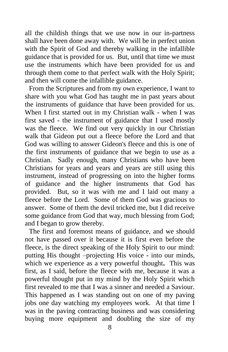all the childish things that we use now in our in-partness shall have been done away with. We will be in perfect union with the Spirit of God and thereby walking in the infallible guidance that is provided for us. But, until that time we must use the instruments which have been provided for us and through them come to that perfect walk with the Holy Spirit; and then will come the infallible guidance.

From the Scriptures and from my own experience, I want to share with you what God has taught me in past years about the instruments of guidance that have been provided for us. When I first started out in my Christian walk - when I was first saved - the instrument of guidance that I used mostly was the fleece. We find out very quickly in our Christian walk that Gideon put out a fleece before the Lord and that God was willing to answer Gideon's fleece and this is one of the first instruments of guidance that we begin to use as a Christian. Sadly enough, many Christians who have been Christians for years and years and years are still using this instrument, instead of progressing on into the higher forms of guidance and the higher instruments that God has provided. But, so it was with me and I laid out many a fleece before the Lord. Some of them God was gracious to answer. Some of them the devil tricked me, but I did receive some guidance from God that way, much blessing from God; and I began to grow thereby.

The first and foremost means of guidance, and we should not have passed over it because it is first even before the fleece, is the direct speaking of the Holy Spirit to our mind: putting His thought –projecting His voice - into our minds, which we experience as a very powerful thought**.** This was first, as I said, before the fleece with me, because it was a powerful thought put in my mind by the Holy Spirit which first revealed to me that I was a sinner and needed a Saviour. This happened as I was standing out on one of my paving jobs one day watching my employees work. At that time I was in the paving contracting business and was considering buying more equipment and doubling the size of my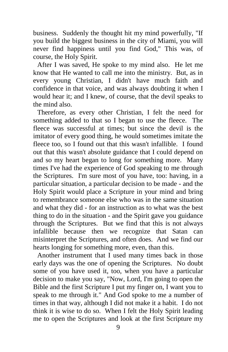business. Suddenly the thought hit my mind powerfully, "If you build the biggest business in the city of Miami, you will never find happiness until you find God," This was, of course, the Holy Spirit.

After I was saved, He spoke to my mind also. He let me know that He wanted to call me into the ministry. But, as in every young Christian, I didn't have much faith and confidence in that voice, and was always doubting it when I would hear it; and I knew, of course, that the devil speaks to the mind also.

Therefore, as every other Christian, I felt the need for something added to that so I began to use the fleece. The fleece was successful at times; but since the devil is the imitator of every good thing, he would sometimes imitate the fleece too, so I found out that this wasn't infallible. I found out that this wasn't absolute guidance that I could depend on and so my heart began to long for something more. Many times I've had the experience of God speaking to me through the Scriptures. I'm sure most of you have, too: having, in a particular situation, a particular decision to be made - and the Holy Spirit would place a Scripture in your mind and bring to remembrance someone else who was in the same situation and what they did - for an instruction as to what was the best thing to do in the situation - and the Spirit gave you guidance through the Scriptures. But we find that this is not always infallible because then we recognize that Satan can misinterpret the Scriptures, and often does. And we find our hearts longing for something more, even, than this.

Another instrument that I used many times back in those early days was the one of opening the Scriptures. No doubt some of you have used it, too, when you have a particular decision to make you say, "Now, Lord, I'm going to open the Bible and the first Scripture I put my finger on, I want you to speak to me through it." And God spoke to me a number of times in that way, although I did not make it a habit. I do not think it is wise to do so. When I felt the Holy Spirit leading me to open the Scriptures and look at the first Scripture my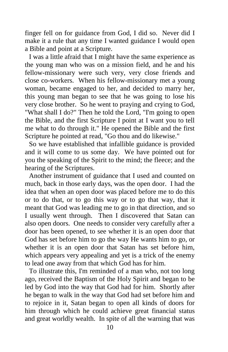finger fell on for guidance from God, I did so. Never did I make it a rule that any time I wanted guidance I would open a Bible and point at a Scripture.

I was a little afraid that I might have the same experience as the young man who was on a mission field, and he and his fellow-missionary were such very, very close friends and close co-workers. When his fellow-missionary met a young woman, became engaged to her, and decided to marry her, this young man began to see that he was going to lose his very close brother. So he went to praying and crying to God, "What shall I do?" Then he told the Lord, "I'm going to open the Bible, and the first Scripture I point at I want you to tell me what to do through it." He opened the Bible and the first Scripture he pointed at read, "Go thou and do likewise."

So we have established that infallible guidance is provided and it will come to us some day. We have pointed out for you the speaking of the Spirit to the mind; the fleece; and the hearing of the Scriptures.

Another instrument of guidance that I used and counted on much, back in those early days, was the open door. I had the idea that when an open door was placed before me to do this or to do that, or to go this way or to go that way, that it meant that God was leading me to go in that direction, and so I usually went through. Then I discovered that Satan can also open doors. One needs to consider very carefully after a door has been opened, to see whether it is an open door that God has set before him to go the way He wants him to go, or whether it is an open door that Satan has set before him, which appears very appealing and yet is a trick of the enemy to lead one away from that which God has for him.

To illustrate this, I'm reminded of a man who, not too long ago, received the Baptism of the Holy Spirit and began to be led by God into the way that God had for him. Shortly after he began to walk in the way that God had set before him and to rejoice in it, Satan began to open all kinds of doors for him through which he could achieve great financial status and great worldly wealth. In spite of all the warning that was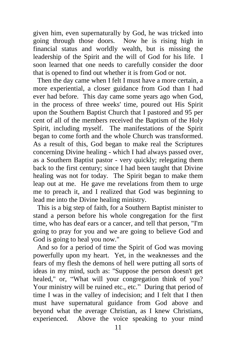given him, even supernaturally by God, he was tricked into going through those doors. Now he is rising high in financial status and worldly wealth, but is missing the leadership of the Spirit and the will of God for his life. I soon learned that one needs to carefully consider the door that is opened to find out whether it is from God or not.

Then the day came when I felt I must have a more certain, a more experiential, a closer guidance from God than I had ever had before. This day came some years ago when God, in the process of three weeks' time, poured out His Spirit upon the Southern Baptist Church that I pastored and 95 per cent of all of the members received the Baptism of the Holy Spirit, including myself. The manifestations of the Spirit began to come forth and the whole Church was transformed. As a result of this, God began to make real the Scriptures concerning Divine healing - which I had always passed over, as a Southern Baptist pastor - very quickly; relegating them back to the first century; since I had been taught that Divine healing was not for today. The Spirit began to make them leap out at me. He gave me revelations from them to urge me to preach it, and I realized that God was beginning to lead me into the Divine healing ministry.

This is a big step of faith, for a Southern Baptist minister to stand a person before his whole congregation for the first time, who has deaf ears or a cancer, and tell that person, "I'm going to pray for you and we are going to believe God and God is going to heal you now."

And so for a period of time the Spirit of God was moving powerfully upon my heart. Yet, in the weaknesses and the fears of my flesh the demons of hell were putting all sorts of ideas in my mind, such as: "Suppose the person doesn't get healed," or, "What will your congregation think of you? Your ministry will be ruined etc., etc." During that period of time I was in the valley of indecision; and I felt that I then must have supernatural guidance from God above and beyond what the average Christian, as I knew Christians, experienced. Above the voice speaking to your mind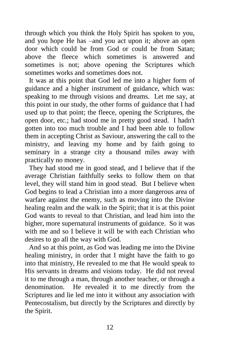through which you think the Holy Spirit has spoken to you, and you hope He has –and you act upon it; above an open door which could be from God or could be from Satan; above the fleece which sometimes is answered and sometimes is not; above opening the Scriptures which sometimes works and sometimes does not.

It was at this point that God led me into a higher form of guidance and a higher instrument of guidance, which was: speaking to me through visions and dreams. Let me say, at this point in our study, the other forms of guidance that I had used up to that point; the fleece, opening the Scriptures, the open door, etc.; had stood me in pretty good stead. I hadn't gotten into too much trouble and I had been able to follow them in accepting Christ as Saviour, answering the call to the ministry, and leaving my home and by faith going to seminary in a strange city a thousand miles away with practically no money.

They had stood me in good stead, and I believe that if the average Christian faithfully seeks to follow them on that level, they will stand him in good stead. But I believe when God begins to lead a Christian into a more dangerous area of warfare against the enemy, such as moving into the Divine healing realm and the walk in the Spirit; that it is at this point God wants to reveal to that Christian, and lead him into the higher, more supernatural instruments of guidance. So it was with me and so I believe it will be with each Christian who desires to go all the way with God.

And so at this point, as God was leading me into the Divine healing ministry, in order that I might have the faith to go into that ministry, He revealed to me that He would speak to His servants in dreams and visions today. He did not reveal it to me through a man, through another teacher, or through a denomination. He revealed it to me directly from the Scriptures and lie led me into it without any association with Pentecostalism, but directly by the Scriptures and directly by the Spirit.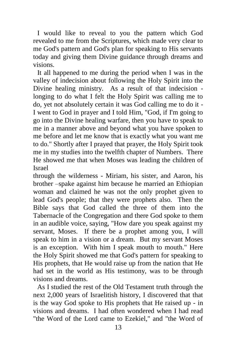I would like to reveal to you the pattern which God revealed to me from the Scriptures, which made very clear to me God's pattern and God's plan for speaking to His servants today and giving them Divine guidance through dreams and visions.

It all happened to me during the period when I was in the valley of indecision about following the Holy Spirit into the Divine healing ministry. As a result of that indecision longing to do what I felt the Holy Spirit was calling me to do, yet not absolutely certain it was God calling me to do it - I went to God in prayer and I told Him, "God, if I'm going to go into the Divine healing warfare, then you have to speak to me in a manner above and beyond what you have spoken to me before and let me know that is exactly what you want me to do." Shortly after I prayed that prayer, the Holy Spirit took me in my studies into the twelfth chapter of Numbers. There He showed me that when Moses was leading the children of Israel

through the wilderness - Miriam, his sister, and Aaron, his brother –spake against him because he married an Ethiopian woman and claimed he was not the only prophet given to lead God's people; that they were prophets also. Then the Bible says that God called the three of them into the Tabernacle of the Congregation and there God spoke to them in an audible voice, saying, "How dare you speak against my servant, Moses. If there be a prophet among you, I will speak to him in a vision or a dream. But my servant Moses is an exception. With him I speak mouth to mouth." Here the Holy Spirit showed me that God's pattern for speaking to His prophets, that He would raise up from the nation that He had set in the world as His testimony, was to be through visions and dreams.

As I studied the rest of the Old Testament truth through the next 2,000 years of Israelitish history, I discovered that that is the way God spoke to His prophets that He raised up - in visions and dreams. I had often wondered when I had read "the Word of the Lord came to Ezekiel," and "the Word of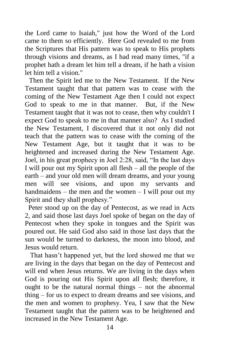the Lord came to Isaiah," just how the Word of the Lord came to them so efficiently. Here God revealed to me from the Scriptures that His pattern was to speak to His prophets through visions and dreams, as I had read many times, "if a prophet hath a dream let him tell a dream, if he hath a vision let him tell a vision."

Then the Spirit led me to the New Testament. If the New Testament taught that that pattern was to cease with the coming of the New Testament Age then I could not expect God to speak to me in that manner. But, if the New Testament taught that it was not to cease, then why couldn't I expect God to speak to me in that manner also? As I studied the New Testament, I discovered that it not only did not teach that the pattern was to cease with the coming of the New Testament Age, but it taught that it was to be heightened and increased during the New Testament Age. Joel, in his great prophecy in Joel 2:28, said, "In the last days I will pour out my Spirit upon all flesh – all the people of the earth – and your old men will dream dreams, and your young men will see visions, and upon my servants and handmaidens – the men and the women – I will pour out my Spirit and they shall prophesy."

 Peter stood up on the day of Pentecost, as we read in Acts 2, and said those last days Joel spoke of began on the day of Pentecost when they spoke in tongues and the Spirit was poured out. He said God also said in those last days that the sun would be turned to darkness, the moon into blood, and Jesus would return.

 That hasn't happened yet, but the lord showed me that we are living in the days that began on the day of Pentecost and will end when Jesus returns. We are living in the days when God is pouring out His Spirit upon all flesh; therefore, it ought to be the natural normal things – not the abnormal thing – for us to expect to dream dreams and see visions, and the men and women to prophesy. Yea, I saw that the New Testament taught that the pattern was to be heightened and increased in the New Testament Age.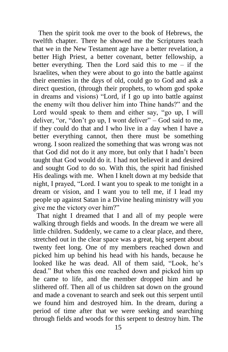Then the spirit took me over to the book of Hebrews, the twelfth chapter. There he showed me the Scriptures teach that we in the New Testament age have a better revelation, a better High Priest, a better covenant, better fellowship, a better everything. Then the Lord said this to me  $-$  if the lsraelites, when they were about to go into the battle against their enemies in the days of old, could go to God and ask a direct question, (through their prophets, to whom god spoke in dreams and visions) "Lord, if I go up into battle against the enemy wilt thou deliver him into Thine hands?" and the Lord would speak to them and either say, "go up, I will deliver, "or, "don't go up, I wont deliver" – God said to me, if they could do that and I who live in a day when I have a better everything cannot, then there must be something wrong. I soon realized the something that was wrong was not that God did not do it any more, but only that I hadn't been taught that God would do it. I had not believed it and desired and sought God to do so. With this, the spirit had finished His dealings with me. When I knelt down at my bedside that night, I prayed, "Lord. I want you to speak to me tonight in a dream or vision, and I want you to tell me, if I lead my people up against Satan in a Divine healing ministry will you give me the victory over him?"

 That night I dreamed that I and all of my people were walking through fields and woods. In the dream we were all little children. Suddenly, we came to a clear place, and there, stretched out in the clear space was a great, big serpent about twenty feet long. One of my members reached down and picked him up behind his head with his hands, because he looked like he was dead. All of them said, "Look, he's dead." But when this one reached down and picked him up he came to life, and the member dropped him and he slithered off. Then all of us children sat down on the ground and made a covenant to search and seek out this serpent until we found him and destroyed him. In the dream, during a period of time after that we were seeking and searching through fields and woods for this serpent to destroy him. The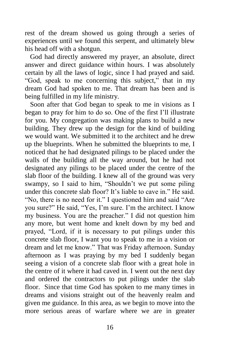rest of the dream showed us going through a series of experiences until we found this serpent, and ultimately blew his head off with a shotgun.

 God had directly answered my prayer, an absolute, direct answer and direct guidance within hours. I was absolutely certain by all the laws of logic, since I had prayed and said. "God, speak to me concerning this subject," that in my dream God had spoken to me. That dream has been and is being fulfilled in my life ministry.

 Soon after that God began to speak to me in visions as I began to pray for him to do so. One of the first I'll illustrate for you. My congregation was making plans to build a new building. They drew up the design for the kind of building we would want. We submitted it to the architect and he drew up the blueprints. When he submitted the blueprints to me, I noticed that he had designated pilings to be placed under the walls of the building all the way around, but he had not designated any pilings to be placed under the centre of the slab floor of the building. I knew all of the ground was very swampy, so I said to him, "Shouldn't we put some piling under this concrete slab floor? It's liable to cave in." He said. "No, there is no need for it." I questioned him and said "Are you sure?" He said, "Yes, I'm sure. I'm the architect. I know my business. You are the preacher." I did not question him any more, but went home and knelt down by my bed and prayed, "Lord, if it is necessary to put pilings under this concrete slab floor, I want you to speak to me in a vision or dream and let me know." That was Friday afternoon. Sunday afternoon as I was praying by my bed I suddenly began seeing a vision of a concrete slab floor with a great hole in the centre of it where it had caved in. I went out the next day and ordered the contractors to put pilings under the slab floor. Since that time God has spoken to me many times in dreams and visions straight out of the heavenly realm and given me guidance. In this area, as we begin to move into the more serious areas of warfare where we are in greater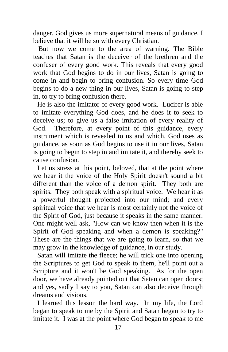danger, God gives us more supernatural means of guidance. I believe that it will be so with every Christian.

 But now we come to the area of warning. The Bible teaches that Satan is the deceiver of the brethren and the confuser of every good work. This reveals that every good work that God begins to do in our lives, Satan is going to come in and begin to bring confusion. So every time God begins to do a new thing in our lives, Satan is going to step in, to try to bring confusion there.

He is also the imitator of every good work. Lucifer is able to imitate everything God does, and he does it to seek to deceive us; to give us a false imitation of every reality of God. Therefore, at every point of this guidance, every instrument which is revealed to us and which, God uses as guidance, as soon as God begins to use it in our lives, Satan is going to begin to step in and imitate it, and thereby seek to cause confusion.

Let us stress at this point, beloved, that at the point where we hear it the voice of the Holy Spirit doesn't sound a bit different than the voice of a demon spirit. They both are spirits. They both speak with a spiritual voice. We hear it as a powerful thought projected into our mind; and every spiritual voice that we hear is most certainly not the voice of the Spirit of God, just because it speaks in the same manner. One might well ask, "How can we know then when it is the Spirit of God speaking and when a demon is speaking?" These are the things that we are going to learn, so that we may grow in the knowledge of guidance, in our study.

Satan will imitate the fleece; he will trick one into opening the Scriptures to get God to speak to them, he'll point out a Scripture and it won't be God speaking. As for the open door, we have already pointed out that Satan can open doors; and yes, sadly I say to you, Satan can also deceive through dreams and visions.

I learned this lesson the hard way. In my life, the Lord began to speak to me by the Spirit and Satan began to try to imitate it. I was at the point where God began to speak to me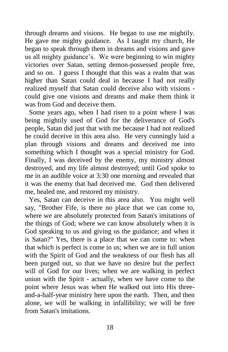through dreams and visions. He began to use me mightily. He gave me mighty guidance. As I taught my church, He began to speak through them in dreams and visions and gave us all mighty guidance's. We were beginning to win mighty victories over Satan, setting demon-possessed people free, and so on. I guess I thought that this was a realm that was higher than Satan could deal in because I had not really realized myself that Satan could deceive also with visions could give one visions and dreams and make them think it was from God and deceive them.

Some years ago, when I had risen to a point where I was being mightily used of God for the deliverance of God's people, Satan did just that with me because I had not realized he could deceive in this area also. He very cunningly laid a plan through visions and dreams and deceived me into something which I thought was a special ministry for God. Finally, I was deceived by the enemy, my ministry almost destroyed, and my life almost destroyed; until God spoke to me in an audible voice at 3:30 one morning and revealed that it was the enemy that had deceived me. God then delivered me, healed me, and restored my ministry.

Yes, Satan can deceive in this area also. You might well say, "Brother Fife, is there no place that we can come to, where we are absolutely protected from Satan's imitations of the things of God; where we can know absolutely when it is God speaking to us and giving us the guidance; and when it is Satan?" Yes, there is a place that we can come to: when that which is perfect is come in us; when we are in full union with the Spirit of God and the weakness of our flesh has all been purged out, so that we have no desire but the perfect will of God for our lives; when we are walking in perfect union with the Spirit - actually, when we have come to the point where Jesus was when He walked out into His threeand-a-half-year ministry here upon the earth. Then, and then alone, we will be walking in infallibility; we will be free from Satan's imitations.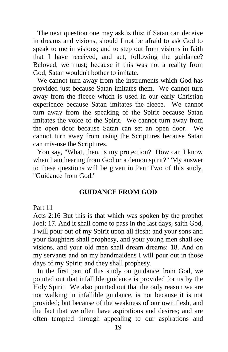The next question one may ask is this: if Satan can deceive in dreams and visions, should I not be afraid to ask God to speak to me in visions; and to step out from visions in faith that I have received, and act, following the guidance? Beloved, we must; because if this was not a reality from God, Satan wouldn't bother to imitate.

We cannot turn away from the instruments which God has provided just because Satan imitates them. We cannot turn away from the fleece which is used in our early Christian experience because Satan imitates the fleece. We cannot turn away from the speaking of the Spirit because Satan imitates the voice of the Spirit. We cannot turn away from the open door because Satan can set an open door. We cannot turn away from using the Scriptures because Satan can mis-use the Scriptures.

You say, "What, then, is my protection? How can I know when I am hearing from God or a demon spirit?" 'My answer to these questions will be given in Part Two of this study, "Guidance from God."

### **GUIDANCE FROM GOD**

#### Part 11

Acts 2:16 But this is that which was spoken by the prophet Joel; 17. And it shall come to pass in the last days, saith God, I will pour out of my Spirit upon all flesh: and your sons and your daughters shall prophesy, and your young men shall see visions, and your old men shall dream dreams: 18. And on my servants and on my handmaidens I will pour out in those days of my Spirit; and they shall prophesy.

In the first part of this study on guidance from God, we pointed out that infallible guidance is provided for us by the Holy Spirit. We also pointed out that the only reason we are not walking in infallible guidance, is not because it is not provided; but because of the weakness of our own flesh, and the fact that we often have aspirations and desires; and are often tempted through appealing to our aspirations and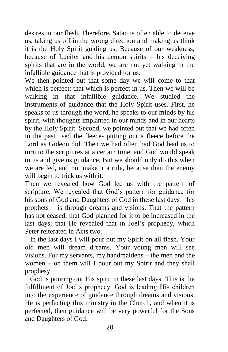desires in our flesh. Therefore, Satan is often able to deceive us, taking us off in the wrong direction and making us think it is the Holy Spirit guiding us. Because of our weakness, because of Lucifer and his demon spirits – his deceiving spirits that are in the world, we are not yet walking in the infallible guidance that is provided for us.

We then pointed out that some day we will come to that which is perfect: that which is perfect in us. Then we will be walking in that infallible guidance. We studied the instruments of guidance that the Holy Spirit uses. First, he speaks to us through the word, he speaks to our minds by his spirit, with thoughts implanted in our minds and in our hearts by the Holy Spirit. Second, we pointed out that we had often in the past used the fleece- putting out a fleece before the Lord as Gideon did. Then we had often had God lead us to turn to the scriptures at a certain time, and God would speak to us and give us guidance. But we should only do this when we are led, and not make it a rule, because then the enemy will begin to trick us with it.

Then we revealed how God led us with the pattern of scripture. We revealed that God's pattern for guidance for his sons of God and Daughters of God in these last days – his prophets – is through dreams and visions. That the pattern has not ceased; that God planned for it to be increased in the last days; that He revealed that in Joel's prophecy, which Peter reiterated in Acts two.

 In the last days I will pour out my Spirit on all flesh. Your old men will dream dreams. Your young men will see visions. For my servants, my handmaidens – the men and the women – on them will I pour out my Spirit and they shall prophesy.

 God is pouring out His spirit in these last days. This is the fulfillment of Joel's prophecy. God is leading His children into the experience of guidance through dreams and visions. He is perfecting this ministry in the Church, and when it is perfected, then guidance will be very powerful for the Sons and Daughters of God.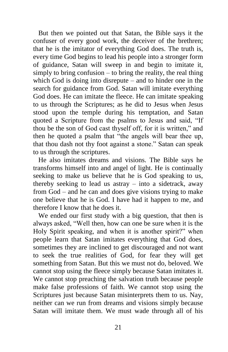But then we pointed out that Satan, the Bible says it the confuser of every good work, the deceiver of the brethren; that he is the imitator of everything God does. The truth is, every time God begins to lead his people into a stronger form of guidance, Satan will sweep in and begin to imitate it, simply to bring confusion – to bring the reality, the real thing which God is doing into disrepute – and to hinder one in the search for guidance from God. Satan will imitate everything God does. He can imitate the fleece. He can imitate speaking to us through the Scriptures; as he did to Jesus when Jesus stood upon the temple during his temptation, and Satan quoted a Scripture from the psalms to Jesus and said, "If thou be the son of God cast thyself off, for it is written," and then he quoted a psalm that "the angels will bear thee up, that thou dash not thy foot against a stone." Satan can speak to us through the scriptures.

 He also imitates dreams and visions. The Bible says he transforms himself into and angel of light. He is continually seeking to make us believe that he is God speaking to us, thereby seeking to lead us astray – into a sidetrack, away from God – and he can and does give visions trying to make one believe that he is God. I have had it happen to me, and therefore I know that he does it.

 We ended our first study with a big question, that then is always asked, "Well then, how can one be sure when it is the Holy Spirit speaking, and when it is another spirit?" when people learn that Satan imitates everything that God does, sometimes they are inclined to get discouraged and not want to seek the true realities of God, for fear they will get something from Satan. But this we must not do, beloved. We cannot stop using the fleece simply because Satan imitates it. We cannot stop preaching the salvation truth because people make false professions of faith. We cannot stop using the Scriptures just because Satan misinterprets them to us. Nay, neither can we run from dreams and visions simply because Satan will imitate them. We must wade through all of his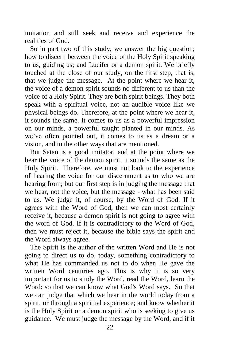imitation and still seek and receive and experience the realities of God.

 So in part two of this study, we answer the big question; how to discern between the voice of the Holy Spirit speaking to us, guiding us; and Lucifer or a demon spirit. We briefly touched at the close of our study, on the first step, that is, that we judge the message. At the point where we hear it, the voice of a demon spirit sounds no different to us than the voice of a Holy Spirit. They are both spirit beings. They both speak with a spiritual voice, not an audible voice like we physical beings do. Therefore, at the point where we hear it, it sounds the same. It comes to us as a powerful impression on our minds, a powerful taught planted in our minds. As we've often pointed out, it comes to us as a dream or a vision, and in the other ways that are mentioned.

 But Satan is a good imitator, and at the point where we hear the voice of the demon spirit, it sounds the same as the Holy Spirit. Therefore, we must not look to the experience of hearing the voice for our discernment as to who we are hearing from; but our first step is in judging the message that we hear, not the voice, but the message - what has been said to us. We judge it, of course, by the Word of God. If it agrees with the Word of God, then we can most certainly receive it, because a demon spirit is not going to agree with the word of God. If it is contradictory to the Word of God, then we must reject it, because the bible says the spirit and the Word always agree.

 The Spirit is the author of the written Word and He is not going to direct us to do, today, something contradictory to what He has commanded us not to do when He gave the written Word centuries ago. This is why it is so very important for us to study the Word, read the Word, learn the Word: so that we can know what God's Word says. So that we can judge that which we hear in the world today from a spirit, or through a spiritual experience; and know whether it is the Holy Spirit or a demon spirit who is seeking to give us guidance. We must judge the message by the Word, and if it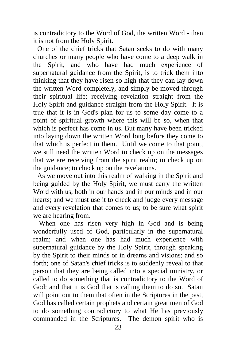is contradictory to the Word of God, the written Word - then it is not from the Holy Spirit.

One of the chief tricks that Satan seeks to do with many churches or many people who have come to a deep walk in the Spirit, and who have had much experience of supernatural guidance from the Spirit, is to trick them into thinking that they have risen so high that they can lay down the written Word completely, and simply be moved through their spiritual life; receiving revelation straight from the Holy Spirit and guidance straight from the Holy Spirit. It is true that it is in God's plan for us to some day come to a point of spiritual growth where this will be so, when that which is perfect has come in us. But many have been tricked into laying down the written Word long before they come to that which is perfect in them. Until we come to that point, we still need the written Word to check up on the messages that we are receiving from the spirit realm; to check up on the guidance; to check up on the revelations.

As we move out into this realm of walking in the Spirit and being guided by the Holy Spirit, we must carry the written Word with us, both in our hands and in our minds and in our hearts; and we must use it to check and judge every message and every revelation that comes to us; to be sure what spirit we are hearing from.

When one has risen very high in God and is being wonderfully used of God, particularly in the supernatural realm; and when one has had much experience with supernatural guidance by the Holy Spirit, through speaking by the Spirit to their minds or in dreams and visions; and so forth; one of Satan's chief tricks is to suddenly reveal to that person that they are being called into a special ministry, or called to do something that is contradictory to the Word of God; and that it is God that is calling them to do so. Satan will point out to them that often in the Scriptures in the past, God has called certain prophets and certain great men of God to do something contradictory to what He has previously commanded in the Scriptures. The demon spirit who is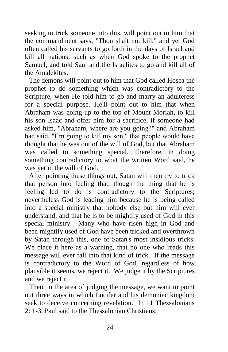seeking to trick someone into this, will point out to him that the commandment says, "Thou shalt not kill," and yet God often called his servants to go forth in the days of Israel and kill all nations; such as when God spoke to the prophet Samuel, and told Saul and the Israelites to go and kill all of the Amalekites.

The demons will point out to him that God called Hosea the prophet to do something which was contradictory to the Scripture, when He told him to go and marry an adulteress for a special purpose. He'll point out to him that when Abraham was going up to the top of Mount Moriah, to kill his son Isaac and offer him for a sacrifice, if someone had asked him, "Abraham, where are you going?" and Abraham had said, "I'm going to kill my son," that people would have thought that he was out of the will of God, but that Abraham was called to something special. Therefore, in doing something contradictory to what the written Word said, he was yet in the will of God.

After pointing these things out, Satan will then try to trick that person into feeling that, though the thing that he is feeling led to do is contradictory to the Scriptures; nevertheless God is leading him because he is being called into a special ministry that nobody else but him will ever understand; and that he is to be mightily used of God in this special ministry. Many who have risen high in God and been mightily used of God have been tricked and overthrown by Satan through this, one of Satan's most insidious tricks. We place it here as a warning, that no one who reads this message will ever fall into that kind of trick. If the message is contradictory to the Word of God, regardless of how plausible it seems, we reject it. We judge it by the Scriptures and we reject it.

Then, in the area of judging the message, we want to point out three ways in which Lucifer and his demoniac kingdom seek to deceive concerning revelation. In 11 Thessalonians 2: 1-3, Paul said to the Thessalonian Christians: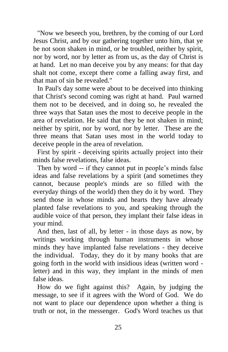"Now we beseech you, brethren, by the coming of our Lord Jesus Christ, and by our gathering together unto him, that ye be not soon shaken in mind, or be troubled, neither by spirit, nor by word, nor by letter as from us, as the day of Christ is at hand. Let no man deceive you by any means: for that day shalt not come, except there come a falling away first, and that man of sin be revealed."

In Paul's day some were about to be deceived into thinking that Christ's second coming was right at hand. Paul warned them not to be deceived, and in doing so, he revealed the three ways that Satan uses the most to deceive people in the area of revelation. He said that they be not shaken in mind; neither by spirit, nor by word, nor by letter. These are the three means that Satan uses most in the world today to deceive people in the area of revelation.

First by spirit - deceiving spirits actually project into their minds false revelations, false ideas.

Then by word -- if they cannot put in people's minds false ideas and false revelations by a spirit (and sometimes they cannot, because people's minds are so filled with the everyday things of the world) then they do it by word. They send those in whose minds and hearts they have already planted false revelations to you, and speaking through the audible voice of that person, they implant their false ideas in your mind.

And then, last of all, by letter - in those days as now, by writings working through human instruments in whose minds they have implanted false revelations - they deceive the individual. Today, they do it by many books that are going forth in the world with insidious ideas (written word letter) and in this way, they implant in the minds of men false ideas.

How do we fight against this? Again, by judging the message, to see if it agrees with the Word of God. We do not want to place our dependence upon whether a thing is truth or not, in the messenger. God's Word teaches us that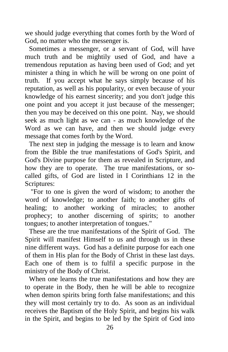we should judge everything that comes forth by the Word of God, no matter who the messenger is.

Sometimes a messenger, or a servant of God, will have much truth and be mightily used of God, and have a tremendous reputation as having been used of God; and yet minister a thing in which he will be wrong on one point of truth. If you accept what he says simply because of his reputation, as well as his popularity, or even because of your knowledge of his earnest sincerity; and you don't judge this one point and you accept it just because of the messenger; then you may be deceived on this one point. Nay, we should seek as much light as we can - as much knowledge of the Word as we can have, and then we should judge every message that comes forth by the Word.

The next step in judging the message is to learn and know from the Bible the true manifestations of God's Spirit, and God's Divine purpose for them as revealed in Scripture, and how they are to operate. The true manifestations, or socalled gifts, of God are listed in I Corinthians 12 in the Scriptures:

"For to one is given the word of wisdom; to another the word of knowledge; to another faith; to another gifts of healing; to another working of miracles; to another prophecy; to another discerning of spirits; to another tongues; to another interpretation of tongues."

These are the true manifestations of the Spirit of God. The Spirit will manifest Himself to us and through us in these nine different ways. God has a definite purpose for each one of them in His plan for the Body of Christ in these last days. Each one of them is to fulfil a specific purpose in the ministry of the Body of Christ.

When one learns the true manifestations and how they are to operate in the Body, then he will be able to recognize when demon spirits bring forth false manifestations; and this they will most certainly try to do. As soon as an individual receives the Baptism of the Holy Spirit, and begins his walk in the Spirit, and begins to be led by the Spirit of God into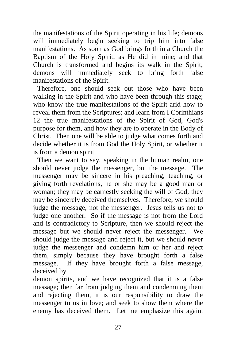the manifestations of the Spirit operating in his life; demons will immediately begin seeking to trip him into false manifestations. As soon as God brings forth in a Church the Baptism of the Holy Spirit, as He did in mine; and that Church is transformed and begins its walk in the Spirit; demons will immediately seek to bring forth false manifestations of the Spirit.

Therefore, one should seek out those who have been walking in the Spirit and who have been through this stage; who know the true manifestations of the Spirit arid how to reveal them from the Scriptures; and learn from I Corinthians 12 the true manifestations of the Spirit of God, God's purpose for them, and how they are to operate in the Body of Christ. Then one will be able to judge what comes forth and decide whether it is from God the Holy Spirit, or whether it is from a demon spirit.

Then we want to say, speaking in the human realm, one should never judge the messenger, but the message. The messenger may be sincere in his preaching, teaching, or giving forth revelations, he or she may be a good man or woman; they may be earnestly seeking the will of God; they may be sincerely deceived themselves. Therefore, we should judge the message, not the messenger. Jesus tells us not to judge one another. So if the message is not from the Lord and is contradictory to Scripture, then we should reject the message but we should never reject the messenger. We should judge the message and reject it, but we should never judge the messenger and condemn him or her and reject them, simply because they have brought forth a false message. If they have brought forth a false message, deceived by

demon spirits, and we have recognized that it is a false message; then far from judging them and condemning them and rejecting them, it is our responsibility to draw the messenger to us in love; and seek to show them where the enemy has deceived them. Let me emphasize this again.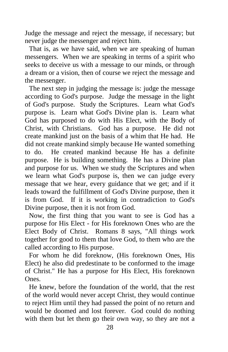Judge the message and reject the message, if necessary; but never judge the messenger and reject him.

That is, as we have said, when we are speaking of human messengers. When we are speaking in terms of a spirit who seeks to deceive us with a message to our minds, or through a dream or a vision, then of course we reject the message and the messenger.

The next step in judging the message is: judge the message according to God's purpose. Judge the message in the light of God's purpose. Study the Scriptures. Learn what God's purpose is. Learn what God's Divine plan is. Learn what God has purposed to do with His Elect, with the Body of Christ, with Christians. God has a purpose. He did not create mankind just on the basis of a whim that He had. He did not create mankind simply because He wanted something to do. He created mankind because He has a definite purpose. He is building something. He has a Divine plan and purpose for us. When we study the Scriptures and when we learn what God's purpose is, then we can judge every message that we hear, every guidance that we get; and if it leads toward the fulfillment of God's Divine purpose, then it is from God. If it is working in contradiction to God's Divine purpose, then it is not from God.

Now, the first thing that you want to see is God has a purpose for His Elect - for His foreknown Ones who are the Elect Body of Christ. Romans 8 says, "All things work together for good to them that love God, to them who are the called according to His purpose.

For whom he did foreknow, (His foreknown Ones, His Elect) he also did predestinate to be conformed to the image of Christ." He has a purpose for His Elect, His foreknown Ones.

He knew, before the foundation of the world, that the rest of the world would never accept Christ, they would continue to reject Him until they had passed the point of no return and would be doomed and lost forever. God could do nothing with them but let them go their own way, so they are not a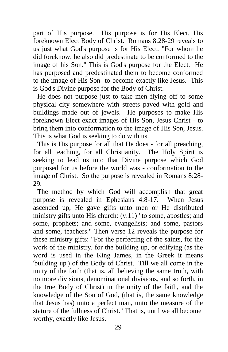part of His purpose. His purpose is for His Elect, His foreknown Elect Body of Christ. Romans 8:28-29 reveals to us just what God's purpose is for His Elect: "For whom he did foreknow, he also did predestinate to be conformed to the image of his Son." This is God's purpose for the Elect. He has purposed and predestinated them to become conformed to the image of His Son- to become exactly like Jesus. This is God's Divine purpose for the Body of Christ.

He does not purpose just to take men flying off to some physical city somewhere with streets paved with gold and buildings made out of jewels. He purposes to make His foreknown Elect exact images of His Son, Jesus Christ - to bring them into conformation to the image of His Son, Jesus. This is what God is seeking to do with us.

This is His purpose for all that He does - for all preaching, for all teaching, for all Christianity. The Holy Spirit is seeking to lead us into that Divine purpose which God purposed for us before the world was - conformation to the image of Christ. So the purpose is revealed in Romans 8:28- 29.

The method by which God will accomplish that great purpose is revealed in Ephesians 4:8-17. When Jesus ascended up, He gave gifts unto men or He distributed ministry gifts unto His church: (v.11) "to some, apostles; and some, prophets; and some, evangelists; and some, pastors and some, teachers." Then verse 12 reveals the purpose for these ministry gifts: "For the perfecting of the saints, for the work of the ministry, for the building up, or edifying (as the word is used in the King James, in the Greek it means 'building up') of the Body of Christ. Till we all come in the unity of the faith (that is, all believing the same truth, with no more divisions, denominational divisions, and so forth, in the true Body of Christ) in the unity of the faith, and the knowledge of the Son of God, (that is, the same knowledge that Jesus has) unto a perfect man, unto the measure of the stature of the fullness of Christ." That is, until we all become worthy, exactly like Jesus.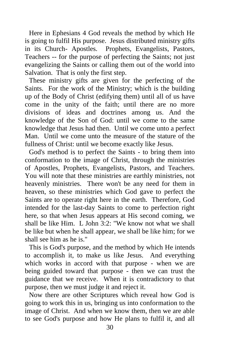Here in Ephesians 4 God reveals the method by which He is going to fulfil His purpose. Jesus distributed ministry gifts in its Church- Apostles. Prophets, Evangelists, Pastors, Teachers -- for the purpose of perfecting the Saints; not just evangelizing the Saints or calling them out of the world into Salvation. That is only the first step.

These ministry gifts are given for the perfecting of the Saints. For the work of the Ministry; which is the building up of the Body of Christ (edifying them) until all of us have come in the unity of the faith; until there are no more divisions of ideas and doctrines among us. And the knowledge of the Son of God: until we come to the same knowledge that Jesus had then. Until we come unto a perfect Man. Until we come unto the measure of the stature of the fullness of Christ: until we become exactly like Jesus.

God's method is to perfect the Saints - to bring them into conformation to the image of Christ, through the ministries of Apostles, Prophets, Evangelists, Pastors, and Teachers. You will note that these ministries are earthly ministries, not heavenly ministries. There won't be any need for them in heaven, so these ministries which God gave to perfect the Saints are to operate right here in the earth. Therefore, God intended for the last-day Saints to come to perfection right here, so that when Jesus appears at His second coming, we shall be like Him. L John  $3:2$ : "We know not what we shall be like but when he shall appear, we shall be like him; for we shall see him as he is."

This is God's purpose, and the method by which He intends to accomplish it, to make us like Jesus. And everything which works in accord with that purpose - when we are being guided toward that purpose - then we can trust the guidance that we receive. When it is contradictory to that purpose, then we must judge it and reject it.

Now there are other Scriptures which reveal how God is going to work this in us, bringing us into conformation to the image of Christ. And when we know them, then we are able to see God's purpose and how He plans to fulfil it, and all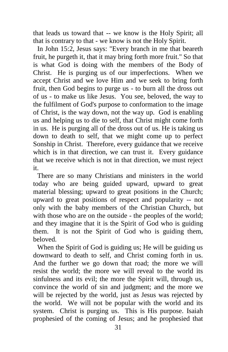that leads us toward that -- we know is the Holy Spirit; all that is contrary to that - we know is not the Holy Spirit.

In John 15:2, Jesus says: "Every branch in me that beareth fruit, he purgeth it, that it may bring forth more fruit." So that is what God is doing with the members of the Body of Christ. He is purging us of our imperfections. When we accept Christ and we love Him and we seek to bring forth fruit, then God begins to purge us - to burn all the dross out of us - to make us like Jesus. You see, beloved, the way to the fulfilment of God's purpose to conformation to the image of Christ, is the way down, not the way up. God is enabling us and helping us to die to self, that Christ might come forth in us. He is purging all of the dross out of us. He is taking us down to death to self, that we might come up to perfect Sonship in Christ. Therefore, every guidance that we receive which is in that direction, we can trust it. Every guidance that we receive which is not in that direction, we must reject it.

There are so many Christians and ministers in the world today who are being guided upward, upward to great material blessing; upward to great positions in the Church; upward to great positions of respect and popularity -- not only with the baby members of the Christian Church, but with those who are on the outside - the peoples of the world; and they imagine that it is the Spirit of God who is guiding them. It is not the Spirit of God who is guiding them, beloved.

When the Spirit of God is guiding us; He will be guiding us downward to death to self, and Christ coming forth in us. And the further we go down that road; the more we will resist the world; the more we will reveal to the world its sinfulness and its evil; the more the Spirit will, through us, convince the world of sin and judgment; and the more we will be rejected by the world, just as Jesus was rejected by the world. We will not be popular with the world and its system. Christ is purging us. This is His purpose. Isaiah prophesied of the coming of Jesus; and he prophesied that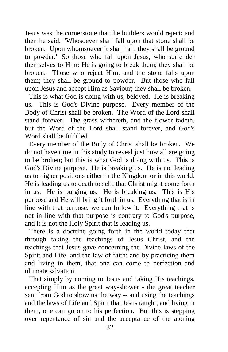Jesus was the cornerstone that the builders would reject; and then he said, "Whosoever shall fall upon that stone shall be broken. Upon whomsoever it shall fall, they shall be ground to powder." So those who fall upon Jesus, who surrender themselves to Him: He is going to break them; they shall be broken. Those who reject Him, and the stone falls upon them; they shall be ground to powder. But those who fall upon Jesus and accept Him as Saviour; they shall be broken.

This is what God is doing with us, beloved. He is breaking us. This is God's Divine purpose. Every member of the Body of Christ shall be broken. The Word of the Lord shall stand forever. The grass withereth, and the flower fadeth, but the Word of the Lord shall stand forever, and God's Word shall be fulfilled.

Every member of the Body of Christ shall be broken. We do not have time in this study to reveal just how all are going to be broken; but this is what God is doing with us. This is God's Divine purpose. He is breaking us. He is not leading us to higher positions either in the Kingdom or in this world. He is leading us to death to self; that Christ might come forth in us. He is purging us. He is breaking us. This is His purpose and He will bring it forth in us. Everything that is in line with that purpose: we can follow it. Everything that is not in line with that purpose is contrary to God's purpose, and it is not the Holy Spirit that is leading us.

There is a doctrine going forth in the world today that through taking the teachings of Jesus Christ, and the teachings that Jesus gave concerning the Divine laws of the Spirit and Life, and the law of faith; and by practicing them and living in them, that one can come to perfection and ultimate salvation.

That simply by coming to Jesus and taking His teachings, accepting Him as the great way-shower - the great teacher sent from God to show us the way -- and using the teachings and the laws of Life and Spirit that Jesus taught, and living in them, one can go on to his perfection. But this is stepping over repentance of sin and the acceptance of the atoning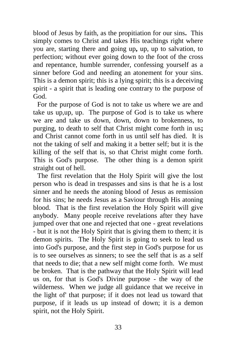blood of Jesus by faith, as the propitiation for our sins**.** This simply comes to Christ and takes His teachings right where you are, starting there and going up**,** up, up to salvation, to perfection; without ever going down to the foot of the cross and repentance, humble surrender, confessing yourself as a sinner before God and needing an atonement for your sins. This is a demon spirit; this is a lying spirit; this is a deceiving spirit - a spirit that is leading one contrary to the purpose of God.

For the purpose of God is not to take us where we are and take us up,up, up. The purpose of God is to take us where we are and take us down, down, down to brokenness, to purging, to death to self that Christ might come forth in us**;**  and Christ cannot come forth in us until self has died. It is not the taking of self and making it a better self; but it is the killing of the self that is, so that Christ might come forth. This is God's purpose. The other thing is a demon spirit straight out of hell.

The first revelation that the Holy Spirit will give the lost person who is dead in trespasses and sins is that he is a lost sinner and he needs the atoning blood of Jesus as remission for his sins; he needs Jesus as a Saviour through His atoning blood. That is the first revelation the Holy Spirit will give anybody. Many people receive revelations after they have jumped over that one and rejected that one - great revelations - but it is not the Holy Spirit that is giving them to them; it is demon spirits. The Holy Spirit is going to seek to lead us into God's purpose, and the first step in God's purpose for us is to see ourselves as sinners; to see the self that is as a self that needs to die; that a new self might come forth. We must be broken. That is the pathway that the Holy Spirit will lead us on, for that is God's Divine purpose - the way of the wilderness. When we judge all guidance that we receive in the light of' that purpose; if it does not lead us toward that purpose, if it leads us up instead of down; it is a demon spirit, not the Holy Spirit.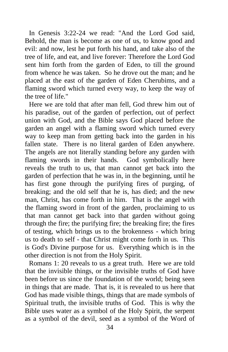In Genesis 3:22-24 we read: "And the Lord God said, Behold, the man is become as one of us, to know good and evil: and now, lest he put forth his hand, and take also of the tree of life, and eat, and live forever: Therefore the Lord God sent him forth from the garden of Eden, to till the ground from whence he was taken. So he drove out the man; and he placed at the east of the garden of Eden Cherubims, and a flaming sword which turned every way, to keep the way of the tree of life."

Here we are told that after man fell, God threw him out of his paradise, out of the garden of perfection, out of perfect union with God, and the Bible says God placed before the garden an angel with a flaming sword which turned every way to keep man from getting back into the garden in his fallen state. There is no literal garden of Eden anywhere. The angels are not literally standing before any garden with flaming swords in their hands. God symbolically here reveals the truth to us, that man cannot get back into the garden of perfection that he was in, in the beginning, until he has first gone through the purifying fires of purging, of breaking; and the old self that he is, has died; and the new man, Christ, has come forth in him. That is the angel with the flaming sword in front of the garden, proclaiming to us that man cannot get back into that garden without going through the fire; the purifying fire; the breaking fire; the fires of testing, which brings us to the brokenness - which bring us to death to self - that Christ might come forth in us. This is God's Divine purpose for us. Everything which is in the other direction is not from the Holy Spirit.

Romans 1: 20 reveals to us a great truth. Here we are told that the invisible things, or the invisible truths of God have been before us since the foundation of the world; being seen in things that are made. That is, it is revealed to us here that God has made visible things, things that are made symbols of Spiritual truth, the invisible truths of God. This is why the Bible uses water as a symbol of the Holy Spirit, the serpent as a symbol of the devil, seed as a symbol of the Word of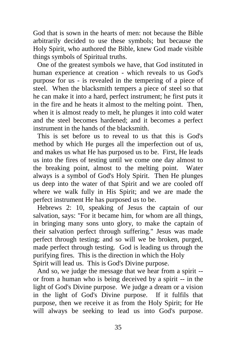God that is sown in the hearts of men: not because the Bible arbitrarily decided to use these symbols; but because the Holy Spirit, who authored the Bible, knew God made visible things symbols of Spiritual truths.

One of the greatest symbols we have, that God instituted in human experience at creation - which reveals to us God's purpose for us - is revealed in the tempering of a piece of steel. When the blacksmith tempers a piece of steel so that he can make it into a hard, perfect instrument; he first puts it in the fire and he heats it almost to the melting point. Then, when it is almost ready to melt, he plunges it into cold water and the steel becomes hardened; and it becomes a perfect instrument in the hands of the blacksmith.

This is set before us to reveal to us that this is God's method by which He purges all the imperfection out of us, and makes us what He has purposed us to be. First, He leads us into the fires of testing until we come one day almost to the breaking point, almost to the melting point. Water always is a symbol of God's Holy Spirit. Then He plunges us deep into the water of that Spirit and we are cooled off where we walk fully in His Spirit; and we are made the perfect instrument He has purposed us to be.

Hebrews 2: 10, speaking of Jesus the captain of our salvation, says: "For it became him, for whom are all things, in bringing many sons unto glory, to make the captain of their salvation perfect through suffering." Jesus was made perfect through testing; and so will we be broken, purged, made perfect through testing. God is leading us through the purifying fires. This is the direction in which the Holy Spirit will lead us. This is God's Divine purpose.

And so, we judge the message that we hear from a spirit - or from a human who is being deceived by a spirit -- in the light of God's Divine purpose. We judge a dream or a vision in the light of God's Divine purpose. If it fulfils that purpose, then we receive it as from the Holy Spirit; for He will always be seeking to lead us into God's purpose.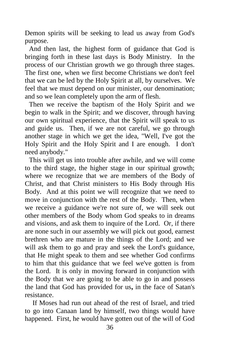Demon spirits will be seeking to lead us away from God's purpose.

And then last, the highest form of guidance that God is bringing forth in these last days is Body Ministry. In the process of our Christian growth we go through three stages. The first one, when we first become Christians we don't feel that we can be led by the Holy Spirit at all, by ourselves. We feel that we must depend on our minister, our denomination; and so we lean completely upon the arm of flesh.

Then we receive the baptism of the Holy Spirit and we begin to walk in the Spirit; and we discover, through having our own spiritual experience, that the Spirit will speak to us and guide us. Then, if we are not careful, we go through another stage in which we get the idea, "Well, I've got the Holy Spirit and the Holy Spirit and I are enough. I don't need anybody."

This will get us into trouble after awhile, and we will come to the third stage, the higher stage in our spiritual growth; where we recognize that we are members of the Body of Christ, and that Christ ministers to His Body through His Body. And at this point we will recognize that we need to move in conjunction with the rest of the Body. Then, when we receive a guidance we're not sure of, we will seek out other members of the Body whom God speaks to in dreams and visions, and ask them to inquire of the Lord. Or, if there are none such in our assembly we will pick out good, earnest brethren who are mature in the things of the Lord; and we will ask them to go and pray and seek the Lord's guidance, that He might speak to them and see whether God confirms to him that this guidance that we feel we've gotten is from the Lord. It is only in moving forward in conjunction with the Body that we are going to be able to go in and possess the land that God has provided for us**,** in the face of Satan's resistance.

 If Moses had run out ahead of the rest of Israel, and tried to go into Canaan land by himself, two things would have happened. First, he would have gotten out of the will of God